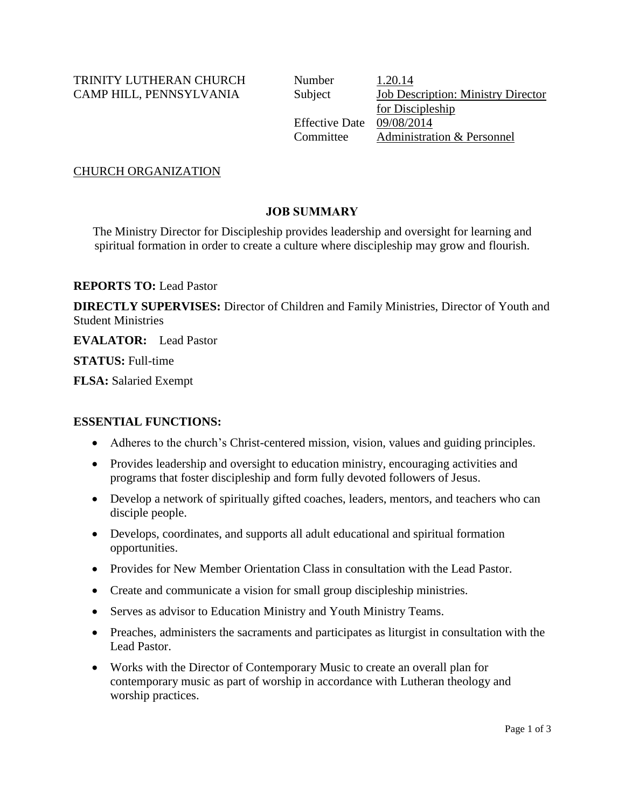TRINITY LUTHERAN CHURCH Number 1.20.14

CAMP HILL, PENNSYLVANIA Subject Job Description: Ministry Director for Discipleship Effective Date 09/08/2014 Committee Administration & Personnel

CHURCH ORGANIZATION

# **JOB SUMMARY**

The Ministry Director for Discipleship provides leadership and oversight for learning and spiritual formation in order to create a culture where discipleship may grow and flourish.

**REPORTS TO:** Lead Pastor

**DIRECTLY SUPERVISES:** Director of Children and Family Ministries, Director of Youth and Student Ministries

**EVALATOR:** Lead Pastor

**STATUS:** Full-time

**FLSA:** Salaried Exempt

# **ESSENTIAL FUNCTIONS:**

- Adheres to the church's Christ-centered mission, vision, values and guiding principles.
- Provides leadership and oversight to education ministry, encouraging activities and programs that foster discipleship and form fully devoted followers of Jesus.
- Develop a network of spiritually gifted coaches, leaders, mentors, and teachers who can disciple people.
- Develops, coordinates, and supports all adult educational and spiritual formation opportunities.
- Provides for New Member Orientation Class in consultation with the Lead Pastor.
- Create and communicate a vision for small group discipleship ministries.
- Serves as advisor to Education Ministry and Youth Ministry Teams.
- Preaches, administers the sacraments and participates as liturgist in consultation with the Lead Pastor.
- Works with the Director of Contemporary Music to create an overall plan for contemporary music as part of worship in accordance with Lutheran theology and worship practices.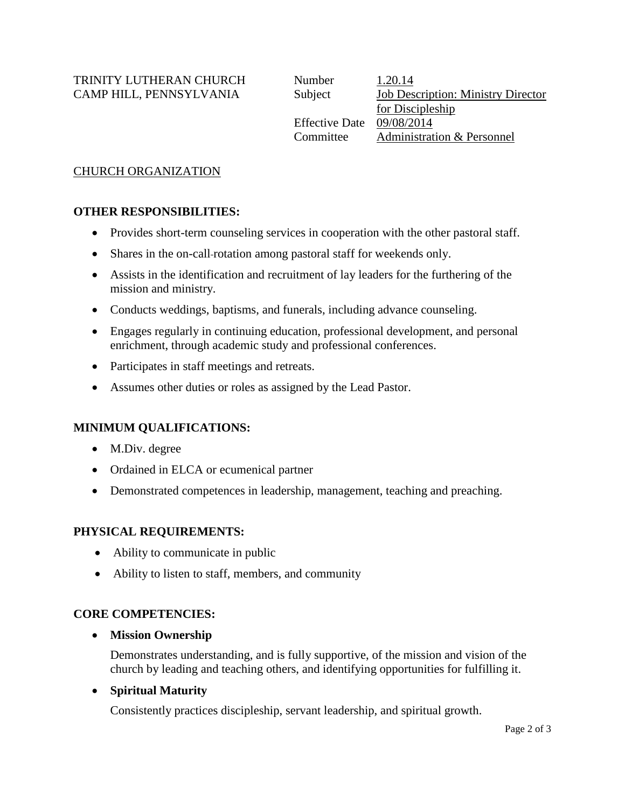TRINITY LUTHERAN CHURCH CAMP HILL, PENNSYLVANIA

| Number                | 1.20.14                                   |
|-----------------------|-------------------------------------------|
| Subject               | <b>Job Description: Ministry Director</b> |
|                       | for Discipleship                          |
| <b>Effective Date</b> | 09/08/2014                                |
| Committee             | Administration & Personnel                |
|                       |                                           |

# CHURCH ORGANIZATION

# **OTHER RESPONSIBILITIES:**

- Provides short-term counseling services in cooperation with the other pastoral staff.
- Shares in the on-call-rotation among pastoral staff for weekends only.
- Assists in the identification and recruitment of lay leaders for the furthering of the mission and ministry.
- Conducts weddings, baptisms, and funerals, including advance counseling.
- Engages regularly in continuing education, professional development, and personal enrichment, through academic study and professional conferences.
- Participates in staff meetings and retreats.
- Assumes other duties or roles as assigned by the Lead Pastor.

# **MINIMUM QUALIFICATIONS:**

- M.Div. degree
- Ordained in ELCA or ecumenical partner
- Demonstrated competences in leadership, management, teaching and preaching.

### **PHYSICAL REQUIREMENTS:**

- Ability to communicate in public
- Ability to listen to staff, members, and community

### **CORE COMPETENCIES:**

**Mission Ownership**

Demonstrates understanding, and is fully supportive, of the mission and vision of the church by leading and teaching others, and identifying opportunities for fulfilling it.

# **Spiritual Maturity**

Consistently practices discipleship, servant leadership, and spiritual growth.